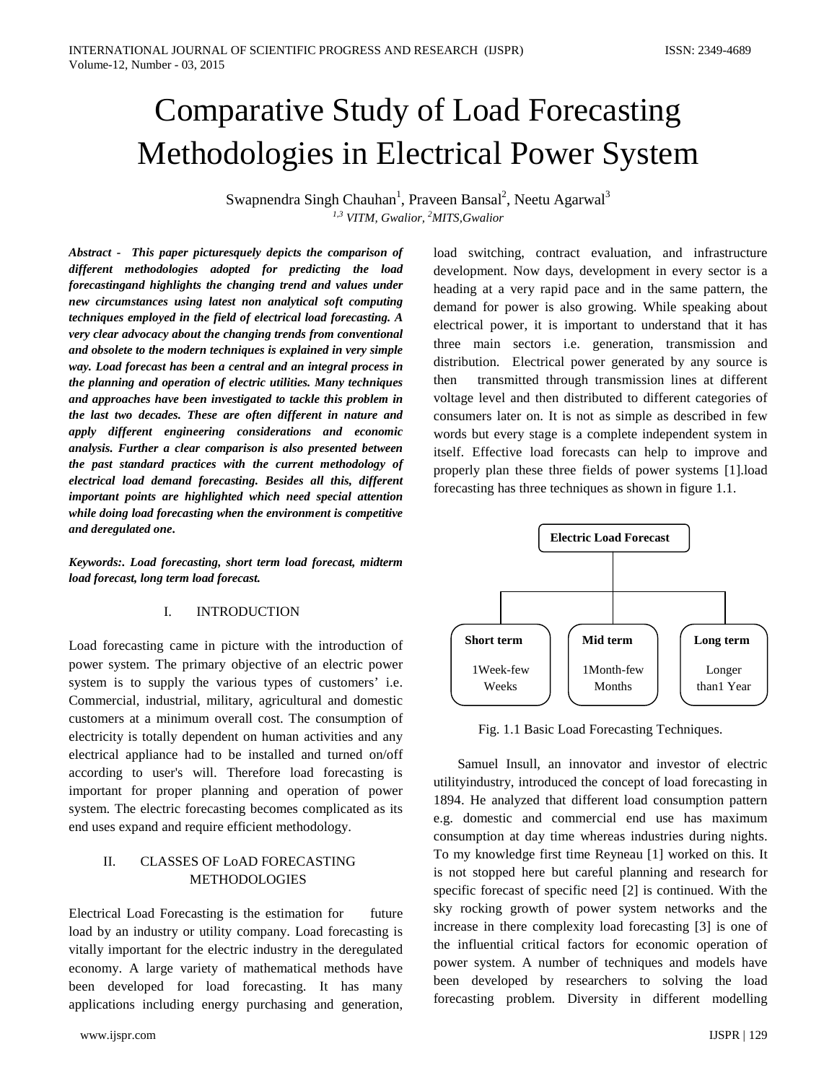# Comparative Study of Load Forecasting Methodologies in Electrical Power System

Swapnendra Singh Chauhan<sup>1</sup>, Praveen Bansal<sup>2</sup>, Neetu Agarwal<sup>3</sup> *1,3 VITM, Gwalior, 2 MITS,Gwalior*

*Abstract -**This paper picturesquely depicts the comparison of different methodologies adopted for predicting the load forecastingand highlights the changing trend and values under new circumstances using latest non analytical soft computing techniques employed in the field of electrical load forecasting. A very clear advocacy about the changing trends from conventional and obsolete to the modern techniques is explained in very simple way. Load forecast has been a central and an integral process in the planning and operation of electric utilities. Many techniques and approaches have been investigated to tackle this problem in the last two decades. These are often different in nature and apply different engineering considerations and economic analysis. Further a clear comparison is also presented between the past standard practices with the current methodology of electrical load demand forecasting. Besides all this, different important points are highlighted which need special attention while doing load forecasting when the environment is competitive and deregulated one***.**

*Keywords:. Load forecasting, short term load forecast, midterm load forecast, long term load forecast.*

### I. INTRODUCTION

Load forecasting came in picture with the introduction of power system. The primary objective of an electric power system is to supply the various types of customers' i.e. Commercial, industrial, military, agricultural and domestic customers at a minimum overall cost. The consumption of electricity is totally dependent on human activities and any electrical appliance had to be installed and turned on/off according to user's will. Therefore load forecasting is important for proper planning and operation of power system. The electric forecasting becomes complicated as its end uses expand and require efficient methodology.

# II. CLASSES OF LoAD FORECASTING METHODOLOGIES

Electrical Load Forecasting is the estimation for future load by an industry or utility company. Load forecasting is vitally important for the electric industry in the deregulated economy. A large variety of mathematical methods have been developed for load forecasting. It has many applications including energy purchasing and generation,

load switching, contract evaluation, and infrastructure development. Now days, development in every sector is a heading at a very rapid pace and in the same pattern, the demand for power is also growing. While speaking about electrical power, it is important to understand that it has three main sectors i.e. generation, transmission and distribution. Electrical power generated by any source is then transmitted through transmission lines at different voltage level and then distributed to different categories of consumers later on. It is not as simple as described in few words but every stage is a complete independent system in itself. Effective load forecasts can help to improve and properly plan these three fields of power systems [1].load forecasting has three techniques as shown in figure 1.1.



Fig. 1.1 Basic Load Forecasting Techniques.

 Samuel Insull, an innovator and investor of electric utilityindustry, introduced the concept of load forecasting in 1894. He analyzed that different load consumption pattern e.g. domestic and commercial end use has maximum consumption at day time whereas industries during nights. To my knowledge first time Reyneau [1] worked on this. It is not stopped here but careful planning and research for specific forecast of specific need [2] is continued. With the sky rocking growth of power system networks and the increase in there complexity load forecasting [3] is one of the influential critical factors for economic operation of power system. A number of techniques and models have been developed by researchers to solving the load forecasting problem. Diversity in different modelling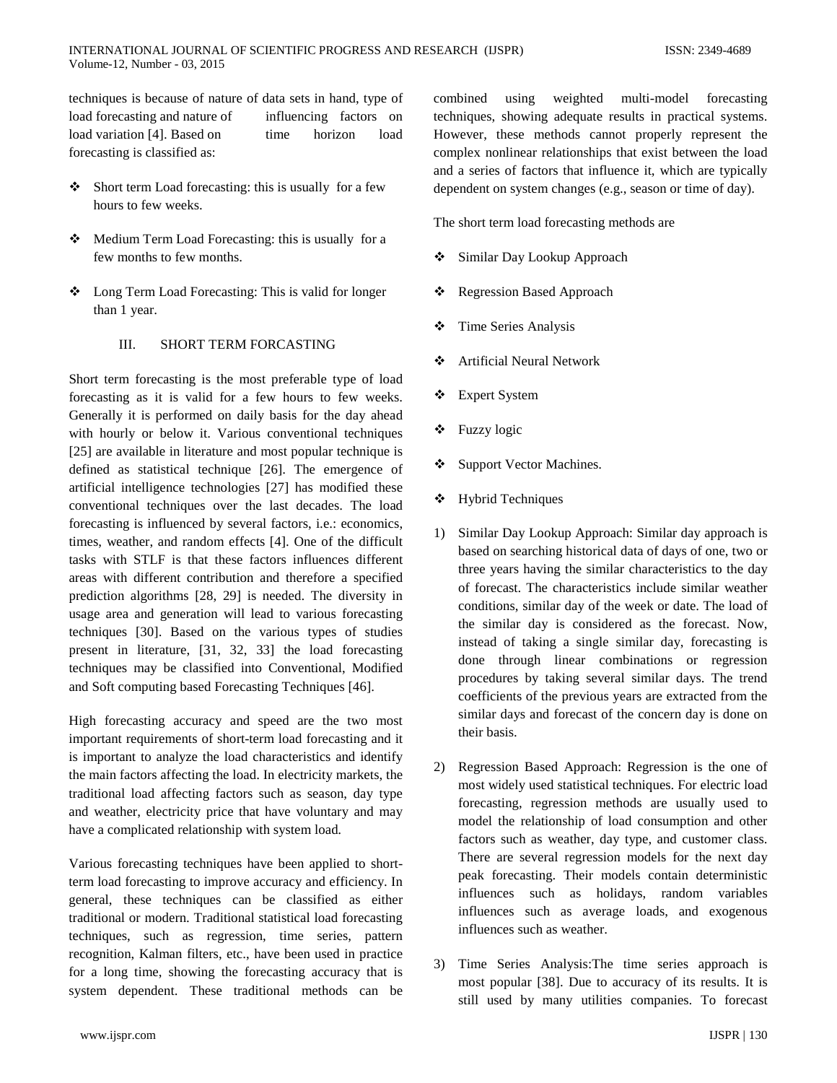techniques is because of nature of data sets in hand, type of load forecasting and nature of influencing factors on load variation [4]. Based on time horizon load forecasting is classified as:

- Short term Load forecasting: this is usually for a few hours to few weeks.
- \* Medium Term Load Forecasting: this is usually for a few months to few months.
- Long Term Load Forecasting: This is valid for longer than 1 year.

# III. SHORT TERM FORCASTING

Short term forecasting is the most preferable type of load forecasting as it is valid for a few hours to few weeks. Generally it is performed on daily basis for the day ahead with hourly or below it. Various conventional techniques [25] are available in literature and most popular technique is defined as statistical technique [26]. The emergence of artificial intelligence technologies [27] has modified these conventional techniques over the last decades. The load forecasting is influenced by several factors, i.e.: economics, times, weather, and random effects [4]. One of the difficult tasks with STLF is that these factors influences different areas with different contribution and therefore a specified prediction algorithms [28, 29] is needed. The diversity in usage area and generation will lead to various forecasting techniques [30]. Based on the various types of studies present in literature, [31, 32, 33] the load forecasting techniques may be classified into Conventional, Modified and Soft computing based Forecasting Techniques [46].

High forecasting accuracy and speed are the two most important requirements of short-term load forecasting and it is important to analyze the load characteristics and identify the main factors affecting the load. In electricity markets, the traditional load affecting factors such as season, day type and weather, electricity price that have voluntary and may have a complicated relationship with system load*.*

Various forecasting techniques have been applied to shortterm load forecasting to improve accuracy and efficiency. In general, these techniques can be classified as either traditional or modern. Traditional statistical load forecasting techniques, such as regression, time series, pattern recognition, Kalman filters, etc., have been used in practice for a long time, showing the forecasting accuracy that is system dependent. These traditional methods can be combined using weighted multi-model forecasting techniques, showing adequate results in practical systems. However, these methods cannot properly represent the complex nonlinear relationships that exist between the load and a series of factors that influence it, which are typically dependent on system changes (e.g., season or time of day).

The short term load forecasting methods are

- Similar Day Lookup Approach
- ❖ Regression Based Approach
- **❖** Time Series Analysis
- Artificial Neural Network
- Expert System
- Fuzzy logic
- Support Vector Machines.
- Hybrid Techniques
- 1) Similar Day Lookup Approach: Similar day approach is based on searching historical data of days of one, two or three years having the similar characteristics to the day of forecast. The characteristics include similar weather conditions, similar day of the week or date. The load of the similar day is considered as the forecast. Now, instead of taking a single similar day, forecasting is done through linear combinations or regression procedures by taking several similar days. The trend coefficients of the previous years are extracted from the similar days and forecast of the concern day is done on their basis.
- 2) Regression Based Approach: Regression is the one of most widely used statistical techniques. For electric load forecasting, regression methods are usually used to model the relationship of load consumption and other factors such as weather, day type, and customer class. There are several regression models for the next day peak forecasting. Their models contain deterministic influences such as holidays, random variables influences such as average loads, and exogenous influences such as weather.
- 3) Time Series Analysis:The time series approach is most popular [38]. Due to accuracy of its results. It is still used by many utilities companies. To forecast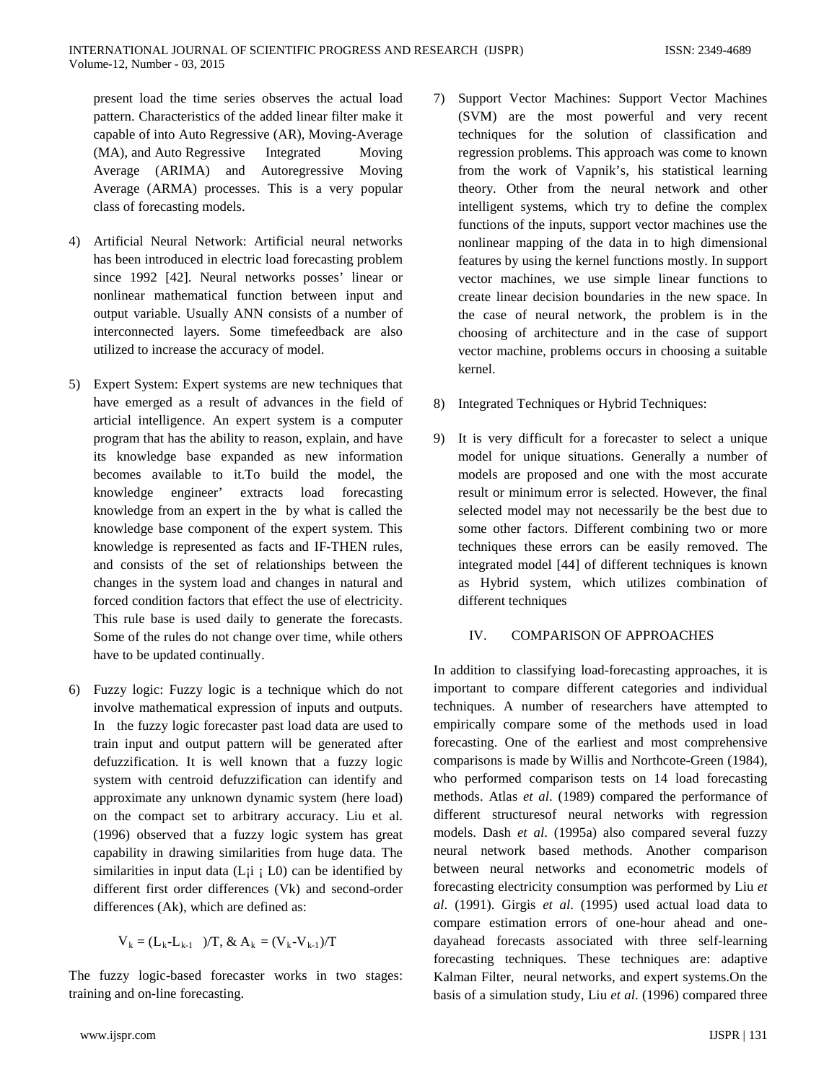present load the time series observes the actual load pattern. Characteristics of the added linear filter make it capable of into Auto Regressive (AR), Moving-Average (MA), and Auto Regressive Integrated Moving Average (ARIMA) and Autoregressive Moving Average (ARMA) processes. This is a very popular class of forecasting models.

- 4) Artificial Neural Network: Artificial neural networks has been introduced in electric load forecasting problem since 1992 [42]. Neural networks posses' linear or nonlinear mathematical function between input and output variable. Usually ANN consists of a number of interconnected layers. Some timefeedback are also utilized to increase the accuracy of model.
- 5) Expert System: Expert systems are new techniques that have emerged as a result of advances in the field of articial intelligence. An expert system is a computer program that has the ability to reason, explain, and have its knowledge base expanded as new information becomes available to it.To build the model, the knowledge engineer' extracts load forecasting knowledge from an expert in the by what is called the knowledge base component of the expert system. This knowledge is represented as facts and IF-THEN rules, and consists of the set of relationships between the changes in the system load and changes in natural and forced condition factors that effect the use of electricity. This rule base is used daily to generate the forecasts. Some of the rules do not change over time, while others have to be updated continually.
- 6) Fuzzy logic: Fuzzy logic is a technique which do not involve mathematical expression of inputs and outputs. In the fuzzy logic forecaster past load data are used to train input and output pattern will be generated after defuzzification. It is well known that a fuzzy logic system with centroid defuzzification can identify and approximate any unknown dynamic system (here load) on the compact set to arbitrary accuracy. Liu et al. (1996) observed that a fuzzy logic system has great capability in drawing similarities from huge data. The similarities in input data  $(L<sub>i</sub> i; L<sub>0</sub>)$  can be identified by different first order differences (Vk) and second-order differences (Ak), which are defined as:

$$
V_k = (L_k - L_{k-1} \t)/T, & A_k = (V_k - V_{k-1})/T
$$

The fuzzy logic-based forecaster works in two stages: training and on-line forecasting.

- 7) Support Vector Machines: Support Vector Machines (SVM) are the most powerful and very recent techniques for the solution of classification and regression problems. This approach was come to known from the work of Vapnik's, his statistical learning theory. Other from the neural network and other intelligent systems, which try to define the complex functions of the inputs, support vector machines use the nonlinear mapping of the data in to high dimensional features by using the kernel functions mostly. In support vector machines, we use simple linear functions to create linear decision boundaries in the new space. In the case of neural network, the problem is in the choosing of architecture and in the case of support vector machine, problems occurs in choosing a suitable kernel.
- 8) Integrated Techniques or Hybrid Techniques:
- 9) It is very difficult for a forecaster to select a unique model for unique situations. Generally a number of models are proposed and one with the most accurate result or minimum error is selected. However, the final selected model may not necessarily be the best due to some other factors. Different combining two or more techniques these errors can be easily removed. The integrated model [44] of different techniques is known as Hybrid system, which utilizes combination of different techniques

#### IV. COMPARISON OF APPROACHES

In addition to classifying load-forecasting approaches, it is important to compare different categories and individual techniques. A number of researchers have attempted to empirically compare some of the methods used in load forecasting. One of the earliest and most comprehensive comparisons is made by Willis and Northcote-Green (1984), who performed comparison tests on 14 load forecasting methods. Atlas *et al*. (1989) compared the performance of different structuresof neural networks with regression models. Dash *et al*. (1995a) also compared several fuzzy neural network based methods. Another comparison between neural networks and econometric models of forecasting electricity consumption was performed by Liu *et al*. (1991). Girgis *et al*. (1995) used actual load data to compare estimation errors of one-hour ahead and onedayahead forecasts associated with three self-learning forecasting techniques. These techniques are: adaptive Kalman Filter, neural networks, and expert systems.On the basis of a simulation study, Liu *et al*. (1996) compared three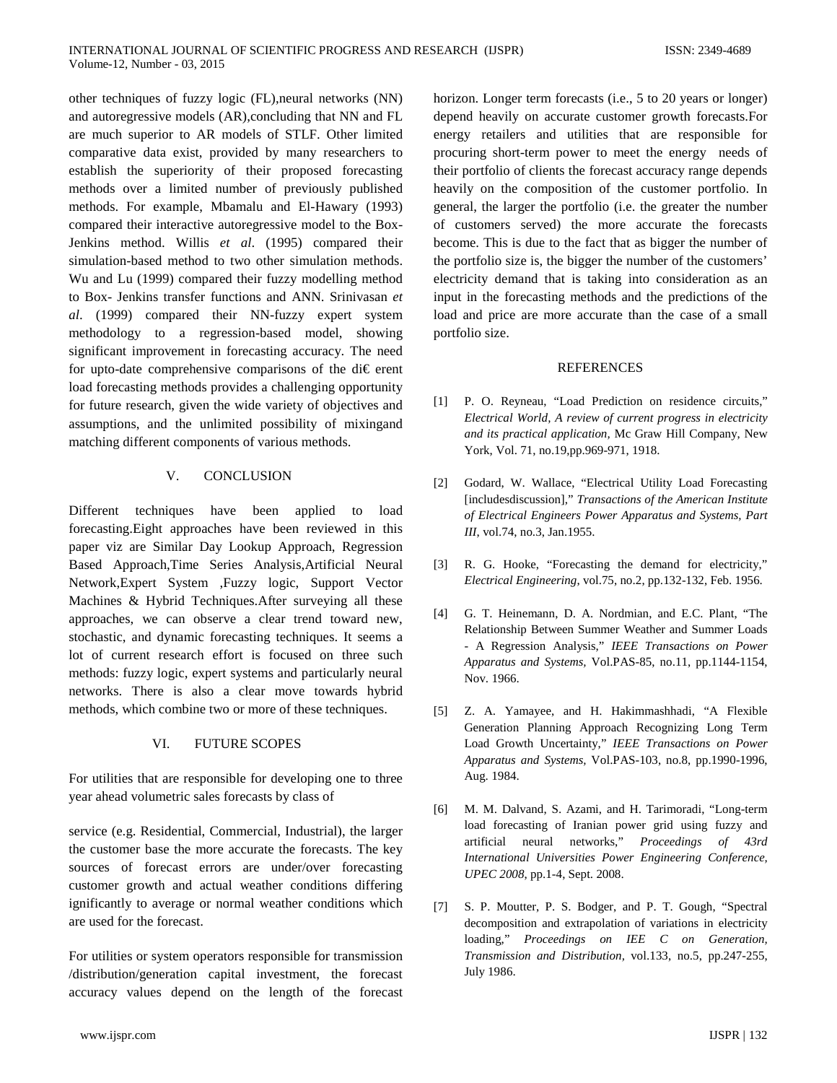other techniques of fuzzy logic (FL),neural networks (NN) and autoregressive models (AR),concluding that NN and FL are much superior to AR models of STLF. Other limited comparative data exist, provided by many researchers to establish the superiority of their proposed forecasting methods over a limited number of previously published methods. For example, Mbamalu and El-Hawary (1993) compared their interactive autoregressive model to the Box-Jenkins method. Willis *et al*. (1995) compared their simulation-based method to two other simulation methods. Wu and Lu (1999) compared their fuzzy modelling method to Box- Jenkins transfer functions and ANN. Srinivasan *et al*. (1999) compared their NN-fuzzy expert system methodology to a regression-based model, showing significant improvement in forecasting accuracy. The need for upto-date comprehensive comparisons of the di€ erent load forecasting methods provides a challenging opportunity for future research, given the wide variety of objectives and assumptions, and the unlimited possibility of mixingand matching different components of various methods.

## V. CONCLUSION

Different techniques have been applied to load forecasting.Eight approaches have been reviewed in this paper viz are Similar Day Lookup Approach, Regression Based Approach,Time Series Analysis,Artificial Neural Network,Expert System ,Fuzzy logic, Support Vector Machines & Hybrid Techniques.After surveying all these approaches, we can observe a clear trend toward new, stochastic, and dynamic forecasting techniques. It seems a lot of current research effort is focused on three such methods: fuzzy logic, expert systems and particularly neural networks. There is also a clear move towards hybrid methods, which combine two or more of these techniques.

## VI. FUTURE SCOPES

For utilities that are responsible for developing one to three year ahead volumetric sales forecasts by class of

service (e.g. Residential, Commercial, Industrial), the larger the customer base the more accurate the forecasts. The key sources of forecast errors are under/over forecasting customer growth and actual weather conditions differing ignificantly to average or normal weather conditions which are used for the forecast.

For utilities or system operators responsible for transmission /distribution/generation capital investment, the forecast accuracy values depend on the length of the forecast

horizon. Longer term forecasts (i.e., 5 to 20 years or longer) depend heavily on accurate customer growth forecasts.For energy retailers and utilities that are responsible for procuring short-term power to meet the energy needs of their portfolio of clients the forecast accuracy range depends heavily on the composition of the customer portfolio. In general, the larger the portfolio (i.e. the greater the number of customers served) the more accurate the forecasts become. This is due to the fact that as bigger the number of the portfolio size is, the bigger the number of the customers' electricity demand that is taking into consideration as an input in the forecasting methods and the predictions of the load and price are more accurate than the case of a small portfolio size.

#### REFERENCES

- [1] P. O. Reyneau, "Load Prediction on residence circuits," *Electrical World, A review of current progress in electricity and its practical application,* Mc Graw Hill Company, New York, Vol. 71, no.19,pp.969-971, 1918.
- [2] Godard, W. Wallace, "Electrical Utility Load Forecasting [includesdiscussion]," *Transactions of the American Institute of Electrical Engineers Power Apparatus and Systems, Part III*, vol.74, no.3, Jan.1955.
- [3] R. G. Hooke, "Forecasting the demand for electricity," *Electrical Engineering*, vol.75, no.2, pp.132-132, Feb. 1956.
- [4] G. T. Heinemann, D. A. Nordmian, and E.C. Plant, "The Relationship Between Summer Weather and Summer Loads - A Regression Analysis," *IEEE Transactions on Power Apparatus and Systems,* Vol.PAS-85, no.11, pp.1144-1154, Nov. 1966.
- [5] Z. A. Yamayee, and H. Hakimmashhadi, "A Flexible Generation Planning Approach Recognizing Long Term Load Growth Uncertainty," *IEEE Transactions on Power Apparatus and Systems,* Vol.PAS-103, no.8, pp.1990-1996, Aug. 1984.
- [6] M. M. Dalvand, S. Azami, and H. Tarimoradi, "Long-term load forecasting of Iranian power grid using fuzzy and artificial neural networks," *Proceedings of 43rd International Universities Power Engineering Conference, UPEC 2008*, pp.1-4, Sept. 2008.
- [7] S. P. Moutter, P. S. Bodger, and P. T. Gough, "Spectral decomposition and extrapolation of variations in electricity loading," *Proceedings on IEE C on Generation, Transmission and Distribution,* vol.133, no.5, pp.247-255, July 1986.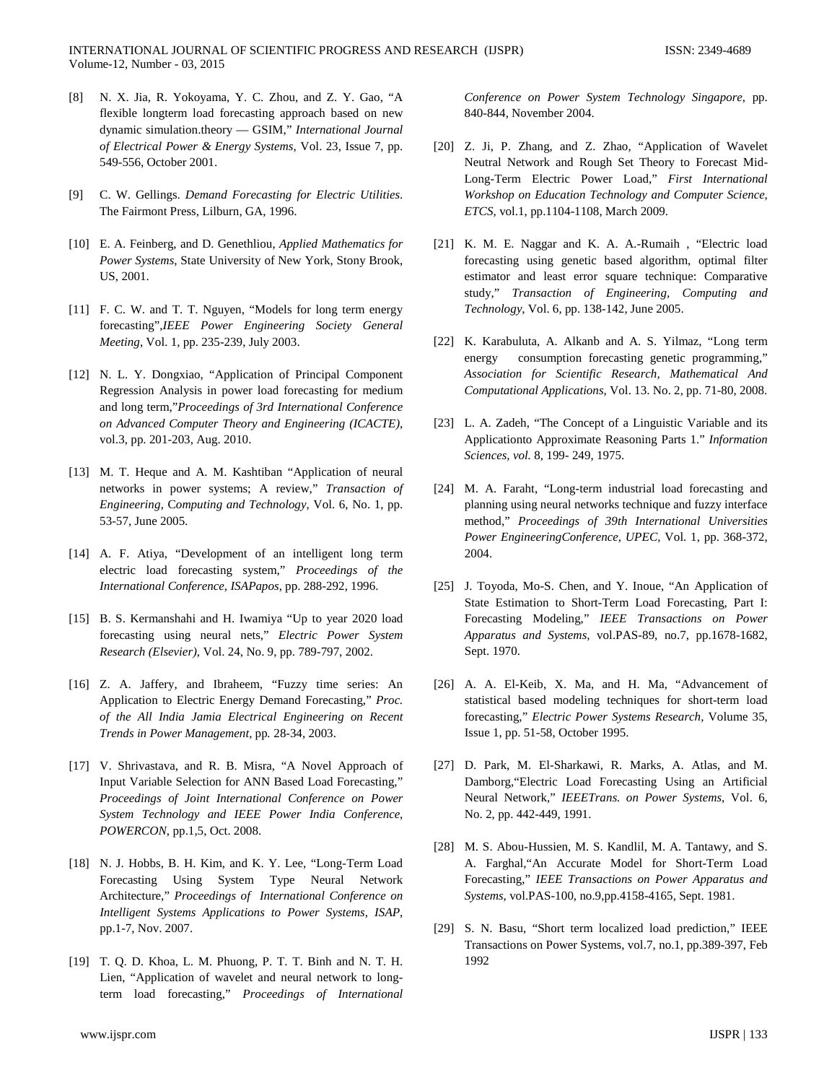- [8] N. X. Jia, R. Yokoyama, Y. C. Zhou, and Z. Y. Gao, "A flexible longterm load forecasting approach based on new dynamic simulation.theory — GSIM," *International Journal of Electrical Power & Energy Systems*, Vol. 23, Issue 7, pp. 549-556, October 2001.
- [9] C. W. Gellings. *Demand Forecasting for Electric Utilities*. The Fairmont Press, Lilburn, GA, 1996.
- [10] E. A. Feinberg, and D. Genethliou, *Applied Mathematics for Power Systems,* State University of New York, Stony Brook, US, 2001.
- [11] F. C. W. and T. T. Nguyen, "Models for long term energy forecasting",*IEEE Power Engineering Society General Meeting*, Vol. 1, pp. 235-239, July 2003.
- [12] N. L. Y. Dongxiao, "Application of Principal Component Regression Analysis in power load forecasting for medium and long term,"*Proceedings of 3rd International Conference on Advanced Computer Theory and Engineering (ICACTE)*, vol.3, pp. 201-203, Aug. 2010.
- [13] M. T. Heque and A. M. Kashtiban "Application of neural networks in power systems; A review," *Transaction of Engineering*, C*omputing and Technology*, Vol. 6, No. 1, pp. 53-57, June 2005.
- [14] A. F. Atiya, "Development of an intelligent long term electric load forecasting system," *Proceedings of the International Conference*, *ISAPapos*, pp. 288-292, 1996.
- [15] B. S. Kermanshahi and H. Iwamiya "Up to year 2020 load forecasting using neural nets," *Electric Power System Research (Elsevier)*, Vol. 24, No. 9, pp. 789-797, 2002.
- [16] Z. A. Jaffery, and Ibraheem, "Fuzzy time series: An Application to Electric Energy Demand Forecasting," *Proc. of the All India Jamia Electrical Engineering on Recent Trends in Power Management,* pp*.* 28-34, 2003.
- [17] V. Shrivastava, and R. B. Misra, "A Novel Approach of Input Variable Selection for ANN Based Load Forecasting," *Proceedings of Joint International Conference on Power System Technology and IEEE Power India Conference, POWERCON*, pp.1,5, Oct. 2008.
- [18] N. J. Hobbs, B. H. Kim, and K. Y. Lee, "Long-Term Load Forecasting Using System Type Neural Network Architecture," *Proceedings of International Conference on Intelligent Systems Applications to Power Systems, ISAP*, pp.1-7, Nov. 2007.
- [19] T. Q. D. Khoa, L. M. Phuong, P. T. T. Binh and N. T. H. Lien, "Application of wavelet and neural network to longterm load forecasting," *Proceedings of International*

*Conference on Power System Technology Singapore*, pp. 840-844, November 2004.

- [20] Z. Ji, P. Zhang, and Z. Zhao, "Application of Wavelet Neutral Network and Rough Set Theory to Forecast Mid-Long-Term Electric Power Load," *First International Workshop on Education Technology and Computer Science, ETCS*, vol.1, pp.1104-1108, March 2009.
- [21] K. M. E. Naggar and K. A. A.-Rumaih, "Electric load forecasting using genetic based algorithm, optimal filter estimator and least error square technique: Comparative study," *Transaction of Engineering, Computing and Technology*, Vol. 6, pp. 138-142, June 2005.
- [22] K. Karabuluta, A. Alkanb and A. S. Yilmaz, "Long term energy consumption forecasting genetic programming," *Association for Scientific Research, Mathematical And Computational Applications*, Vol. 13. No. 2, pp. 71-80, 2008.
- [23] L. A. Zadeh, "The Concept of a Linguistic Variable and its Applicationto Approximate Reasoning Parts 1." *Information Sciences, vol.* 8, 199- 249, 1975.
- [24] M. A. Faraht, "Long-term industrial load forecasting and planning using neural networks technique and fuzzy interface method," *Proceedings of 39th International Universities Power EngineeringConference, UPEC,* Vol. 1, pp. 368-372, 2004.
- [25] J. Toyoda, Mo-S. Chen, and Y. Inoue, "An Application of State Estimation to Short-Term Load Forecasting, Part I: Forecasting Modeling," *IEEE Transactions on Power Apparatus and Systems,* vol.PAS-89, no.7, pp.1678-1682, Sept. 1970.
- [26] A. A. El-Keib, X. Ma, and H. Ma, "Advancement of statistical based modeling techniques for short-term load forecasting," *Electric Power Systems Research,* Volume 35, Issue 1, pp. 51-58, October 1995.
- [27] D. Park, M. El-Sharkawi, R. Marks, A. Atlas, and M. Damborg,"Electric Load Forecasting Using an Artificial Neural Network," *IEEETrans. on Power Systems*, Vol. 6, No. 2, pp. 442-449, 1991.
- [28] M. S. Abou-Hussien, M. S. Kandlil, M. A. Tantawy, and S. A. Farghal,"An Accurate Model for Short-Term Load Forecasting," *IEEE Transactions on Power Apparatus and Systems*, vol.PAS-100, no.9,pp.4158-4165, Sept. 1981.
- [29] S. N. Basu, "Short term localized load prediction," IEEE Transactions on Power Systems, vol.7, no.1, pp.389-397, Feb 1992